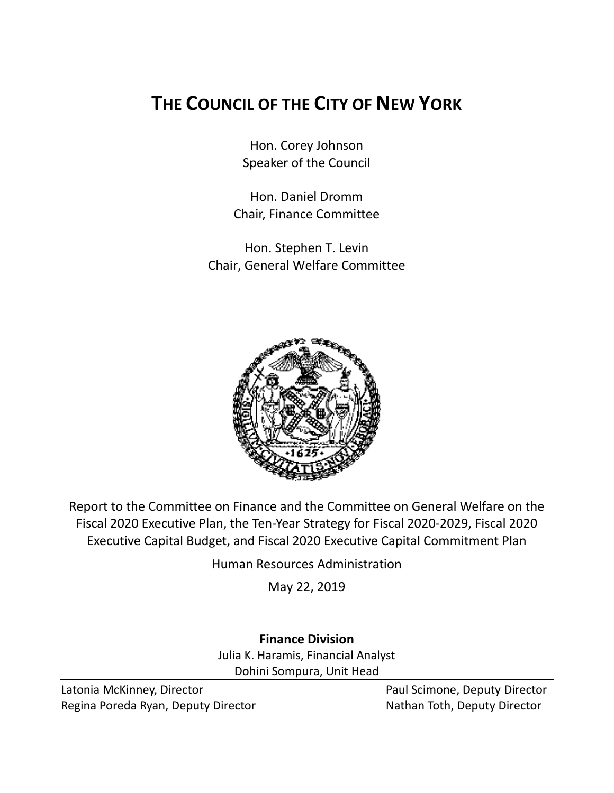# **THE COUNCIL OF THE CITY OF NEW YORK**

Hon. Corey Johnson Speaker of the Council

Hon. Daniel Dromm Chair, Finance Committee

Hon. Stephen T. Levin Chair, General Welfare Committee



Report to the Committee on Finance and the Committee on General Welfare on the Fiscal 2020 Executive Plan, the Ten-Year Strategy for Fiscal 2020-2029, Fiscal 2020 Executive Capital Budget, and Fiscal 2020 Executive Capital Commitment Plan

Human Resources Administration

May 22, 2019

**Finance Division** Julia K. Haramis, Financial Analyst Dohini Sompura, Unit Head

Latonia McKinney, Director **Paul Scimone, Deputy Director** Paul Scimone, Deputy Director Regina Poreda Ryan, Deputy Director Nathan Toth, Deputy Director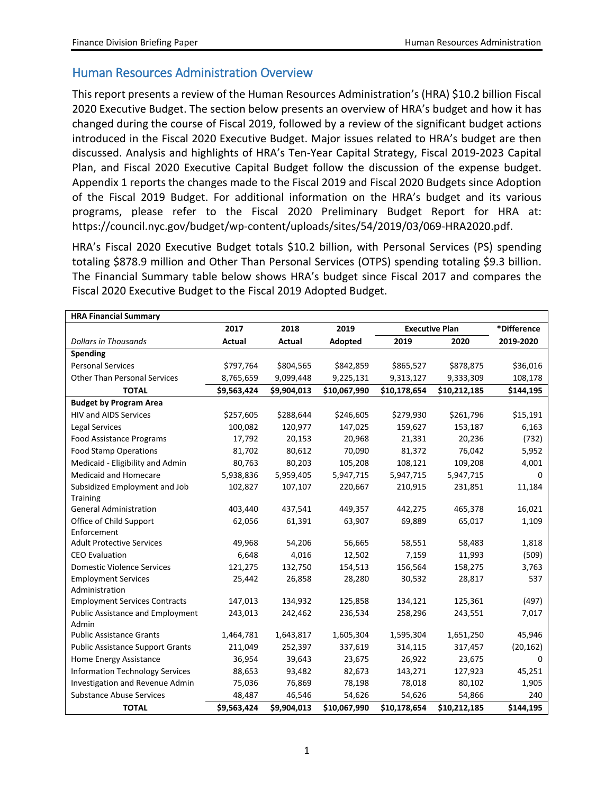#### Human Resources Administration Overview

This report presents a review of the Human Resources Administration's (HRA) \$10.2 billion Fiscal 2020 Executive Budget. The section below presents an overview of HRA's budget and how it has changed during the course of Fiscal 2019, followed by a review of the significant budget actions introduced in the Fiscal 2020 Executive Budget. Major issues related to HRA's budget are then discussed. Analysis and highlights of HRA's Ten-Year Capital Strategy, Fiscal 2019-2023 Capital Plan, and Fiscal 2020 Executive Capital Budget follow the discussion of the expense budget. Appendix 1 reports the changes made to the Fiscal 2019 and Fiscal 2020 Budgets since Adoption of the Fiscal 2019 Budget. For additional information on the HRA's budget and its various programs, please refer to the Fiscal 2020 Preliminary Budget Report for HRA at: https://council.nyc.gov/budget/wp-content/uploads/sites/54/2019/03/069-HRA2020.pdf.

HRA's Fiscal 2020 Executive Budget totals \$10.2 billion, with Personal Services (PS) spending totaling \$878.9 million and Other Than Personal Services (OTPS) spending totaling \$9.3 billion. The Financial Summary table below shows HRA's budget since Fiscal 2017 and compares the Fiscal 2020 Executive Budget to the Fiscal 2019 Adopted Budget.

| <b>HRA Financial Summary</b>            |             |               |              |                       |              |             |
|-----------------------------------------|-------------|---------------|--------------|-----------------------|--------------|-------------|
|                                         | 2017        | 2018          | 2019         | <b>Executive Plan</b> |              | *Difference |
| <b>Dollars in Thousands</b>             | Actual      | <b>Actual</b> | Adopted      | 2019                  | 2020         | 2019-2020   |
| Spending                                |             |               |              |                       |              |             |
| <b>Personal Services</b>                | \$797,764   | \$804,565     | \$842,859    | \$865,527             | \$878,875    | \$36,016    |
| <b>Other Than Personal Services</b>     | 8,765,659   | 9,099,448     | 9,225,131    | 9,313,127             | 9,333,309    | 108,178     |
| <b>TOTAL</b>                            | \$9,563,424 | \$9,904,013   | \$10,067,990 | \$10,178,654          | \$10,212,185 | \$144,195   |
| <b>Budget by Program Area</b>           |             |               |              |                       |              |             |
| <b>HIV and AIDS Services</b>            | \$257,605   | \$288,644     | \$246,605    | \$279,930             | \$261,796    | \$15,191    |
| <b>Legal Services</b>                   | 100,082     | 120,977       | 147,025      | 159,627               | 153,187      | 6,163       |
| <b>Food Assistance Programs</b>         | 17,792      | 20,153        | 20,968       | 21,331                | 20,236       | (732)       |
| <b>Food Stamp Operations</b>            | 81,702      | 80,612        | 70,090       | 81,372                | 76,042       | 5,952       |
| Medicaid - Eligibility and Admin        | 80,763      | 80,203        | 105,208      | 108,121               | 109,208      | 4,001       |
| <b>Medicaid and Homecare</b>            | 5,938,836   | 5,959,405     | 5,947,715    | 5,947,715             | 5,947,715    | 0           |
| Subsidized Employment and Job           | 102,827     | 107,107       | 220,667      | 210,915               | 231,851      | 11,184      |
| Training                                |             |               |              |                       |              |             |
| <b>General Administration</b>           | 403,440     | 437,541       | 449,357      | 442,275               | 465,378      | 16,021      |
| Office of Child Support                 | 62,056      | 61,391        | 63,907       | 69,889                | 65,017       | 1,109       |
| Enforcement                             |             |               |              |                       |              |             |
| <b>Adult Protective Services</b>        | 49,968      | 54,206        | 56,665       | 58,551                | 58,483       | 1,818       |
| <b>CEO Evaluation</b>                   | 6,648       | 4,016         | 12,502       | 7,159                 | 11,993       | (509)       |
| <b>Domestic Violence Services</b>       | 121,275     | 132,750       | 154,513      | 156,564               | 158,275      | 3,763       |
| <b>Employment Services</b>              | 25,442      | 26,858        | 28,280       | 30,532                | 28,817       | 537         |
| Administration                          |             |               |              |                       |              |             |
| <b>Employment Services Contracts</b>    | 147,013     | 134,932       | 125,858      | 134,121               | 125,361      | (497)       |
| <b>Public Assistance and Employment</b> | 243,013     | 242,462       | 236,534      | 258,296               | 243,551      | 7,017       |
| Admin                                   |             |               |              |                       |              |             |
| <b>Public Assistance Grants</b>         | 1,464,781   | 1,643,817     | 1,605,304    | 1,595,304             | 1,651,250    | 45,946      |
| <b>Public Assistance Support Grants</b> | 211,049     | 252,397       | 337,619      | 314,115               | 317,457      | (20, 162)   |
| Home Energy Assistance                  | 36,954      | 39,643        | 23,675       | 26,922                | 23,675       | $\Omega$    |
| <b>Information Technology Services</b>  | 88,653      | 93,482        | 82,673       | 143,271               | 127,923      | 45,251      |
| Investigation and Revenue Admin         | 75,036      | 76,869        | 78,198       | 78,018                | 80,102       | 1,905       |
| <b>Substance Abuse Services</b>         | 48,487      | 46,546        | 54,626       | 54,626                | 54,866       | 240         |
| <b>TOTAL</b>                            | \$9,563,424 | \$9,904,013   | \$10,067,990 | \$10,178,654          | \$10,212,185 | \$144,195   |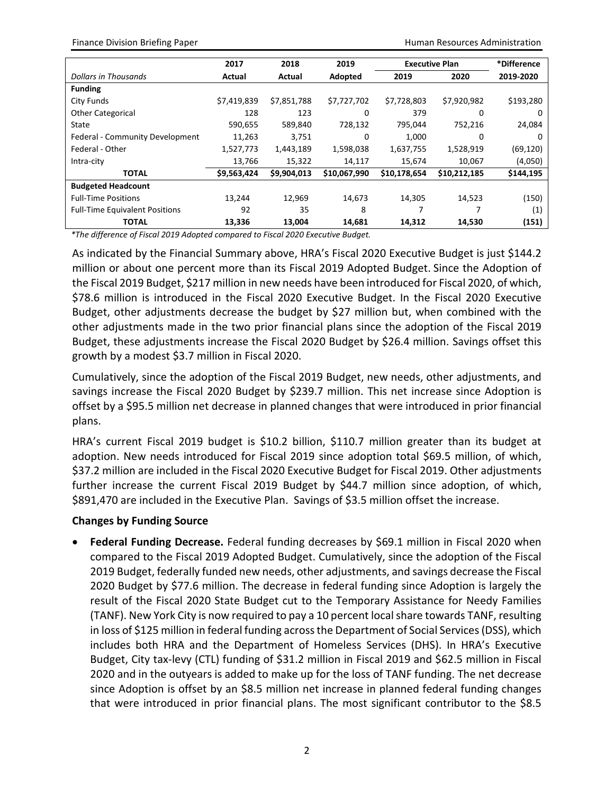Finance Division Briefing Paper **Human Resources Administration Human Resources Administration** 

|                                       | 2017        | 2018        | 2019         |              | <b>Executive Plan</b> | *Difference |
|---------------------------------------|-------------|-------------|--------------|--------------|-----------------------|-------------|
| Dollars in Thousands                  | Actual      | Actual      | Adopted      | 2019         | 2020                  | 2019-2020   |
| <b>Funding</b>                        |             |             |              |              |                       |             |
| City Funds                            | \$7,419,839 | \$7,851,788 | \$7,727,702  | \$7,728,803  | \$7,920,982           | \$193,280   |
| <b>Other Categorical</b>              | 128         | 123         | 0            | 379          | 0                     | 0           |
| State                                 | 590,655     | 589,840     | 728,132      | 795,044      | 752,216               | 24,084      |
| Federal - Community Development       | 11,263      | 3,751       | 0            | 1,000        | 0                     | 0           |
| Federal - Other                       | 1,527,773   | 1,443,189   | 1,598,038    | 1,637,755    | 1,528,919             | (69, 120)   |
| Intra-city                            | 13,766      | 15,322      | 14,117       | 15,674       | 10,067                | (4,050)     |
| <b>TOTAL</b>                          | \$9,563,424 | \$9,904,013 | \$10,067,990 | \$10,178,654 | \$10,212,185          | \$144,195   |
| <b>Budgeted Headcount</b>             |             |             |              |              |                       |             |
| <b>Full-Time Positions</b>            | 13.244      | 12,969      | 14,673       | 14,305       | 14,523                | (150)       |
| <b>Full-Time Equivalent Positions</b> | 92          | 35          | 8            |              |                       | (1)         |
| <b>TOTAL</b>                          | 13,336      | 13,004      | 14,681       | 14,312       | 14,530                | (151)       |

*\*The difference of Fiscal 2019 Adopted compared to Fiscal 2020 Executive Budget.*

As indicated by the Financial Summary above, HRA's Fiscal 2020 Executive Budget is just \$144.2 million or about one percent more than its Fiscal 2019 Adopted Budget. Since the Adoption of the Fiscal 2019 Budget, \$217 million in new needs have been introduced for Fiscal 2020, of which, \$78.6 million is introduced in the Fiscal 2020 Executive Budget. In the Fiscal 2020 Executive Budget, other adjustments decrease the budget by \$27 million but, when combined with the other adjustments made in the two prior financial plans since the adoption of the Fiscal 2019 Budget, these adjustments increase the Fiscal 2020 Budget by \$26.4 million. Savings offset this growth by a modest \$3.7 million in Fiscal 2020.

Cumulatively, since the adoption of the Fiscal 2019 Budget, new needs, other adjustments, and savings increase the Fiscal 2020 Budget by \$239.7 million. This net increase since Adoption is offset by a \$95.5 million net decrease in planned changes that were introduced in prior financial plans.

HRA's current Fiscal 2019 budget is \$10.2 billion, \$110.7 million greater than its budget at adoption. New needs introduced for Fiscal 2019 since adoption total \$69.5 million, of which, \$37.2 million are included in the Fiscal 2020 Executive Budget for Fiscal 2019. Other adjustments further increase the current Fiscal 2019 Budget by \$44.7 million since adoption, of which, \$891,470 are included in the Executive Plan. Savings of \$3.5 million offset the increase.

#### **Changes by Funding Source**

• **Federal Funding Decrease.** Federal funding decreases by \$69.1 million in Fiscal 2020 when compared to the Fiscal 2019 Adopted Budget. Cumulatively, since the adoption of the Fiscal 2019 Budget, federally funded new needs, other adjustments, and savings decrease the Fiscal 2020 Budget by \$77.6 million. The decrease in federal funding since Adoption is largely the result of the Fiscal 2020 State Budget cut to the Temporary Assistance for Needy Families (TANF). New York City is now required to pay a 10 percent local share towards TANF, resulting in loss of \$125 million in federal funding across the Department of Social Services (DSS), which includes both HRA and the Department of Homeless Services (DHS). In HRA's Executive Budget, City tax-levy (CTL) funding of \$31.2 million in Fiscal 2019 and \$62.5 million in Fiscal 2020 and in the outyears is added to make up for the loss of TANF funding. The net decrease since Adoption is offset by an \$8.5 million net increase in planned federal funding changes that were introduced in prior financial plans. The most significant contributor to the \$8.5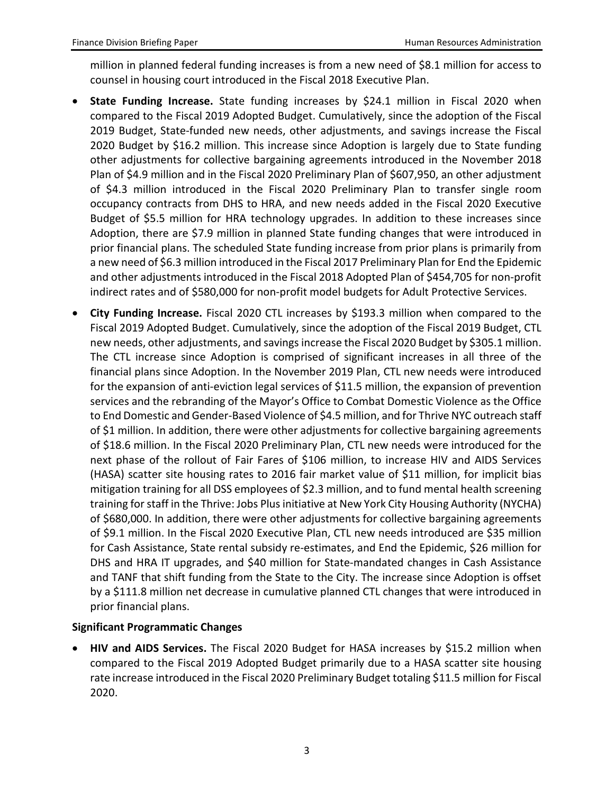million in planned federal funding increases is from a new need of \$8.1 million for access to counsel in housing court introduced in the Fiscal 2018 Executive Plan.

- **State Funding Increase.** State funding increases by \$24.1 million in Fiscal 2020 when compared to the Fiscal 2019 Adopted Budget. Cumulatively, since the adoption of the Fiscal 2019 Budget, State-funded new needs, other adjustments, and savings increase the Fiscal 2020 Budget by \$16.2 million. This increase since Adoption is largely due to State funding other adjustments for collective bargaining agreements introduced in the November 2018 Plan of \$4.9 million and in the Fiscal 2020 Preliminary Plan of \$607,950, an other adjustment of \$4.3 million introduced in the Fiscal 2020 Preliminary Plan to transfer single room occupancy contracts from DHS to HRA, and new needs added in the Fiscal 2020 Executive Budget of \$5.5 million for HRA technology upgrades. In addition to these increases since Adoption, there are \$7.9 million in planned State funding changes that were introduced in prior financial plans. The scheduled State funding increase from prior plans is primarily from a new need of \$6.3 million introduced in the Fiscal 2017 Preliminary Plan for End the Epidemic and other adjustments introduced in the Fiscal 2018 Adopted Plan of \$454,705 for non-profit indirect rates and of \$580,000 for non-profit model budgets for Adult Protective Services.
- **City Funding Increase.** Fiscal 2020 CTL increases by \$193.3 million when compared to the Fiscal 2019 Adopted Budget. Cumulatively, since the adoption of the Fiscal 2019 Budget, CTL new needs, other adjustments, and savings increase the Fiscal 2020 Budget by \$305.1 million. The CTL increase since Adoption is comprised of significant increases in all three of the financial plans since Adoption. In the November 2019 Plan, CTL new needs were introduced for the expansion of anti-eviction legal services of \$11.5 million, the expansion of prevention services and the rebranding of the Mayor's Office to Combat Domestic Violence as the Office to End Domestic and Gender-Based Violence of \$4.5 million, and for Thrive NYC outreach staff of \$1 million. In addition, there were other adjustments for collective bargaining agreements of \$18.6 million. In the Fiscal 2020 Preliminary Plan, CTL new needs were introduced for the next phase of the rollout of Fair Fares of \$106 million, to increase HIV and AIDS Services (HASA) scatter site housing rates to 2016 fair market value of \$11 million, for implicit bias mitigation training for all DSS employees of \$2.3 million, and to fund mental health screening training for staff in the Thrive: Jobs Plus initiative at New York City Housing Authority (NYCHA) of \$680,000. In addition, there were other adjustments for collective bargaining agreements of \$9.1 million. In the Fiscal 2020 Executive Plan, CTL new needs introduced are \$35 million for Cash Assistance, State rental subsidy re-estimates, and End the Epidemic, \$26 million for DHS and HRA IT upgrades, and \$40 million for State-mandated changes in Cash Assistance and TANF that shift funding from the State to the City. The increase since Adoption is offset by a \$111.8 million net decrease in cumulative planned CTL changes that were introduced in prior financial plans.

#### **Significant Programmatic Changes**

• **HIV and AIDS Services.** The Fiscal 2020 Budget for HASA increases by \$15.2 million when compared to the Fiscal 2019 Adopted Budget primarily due to a HASA scatter site housing rate increase introduced in the Fiscal 2020 Preliminary Budget totaling \$11.5 million for Fiscal 2020.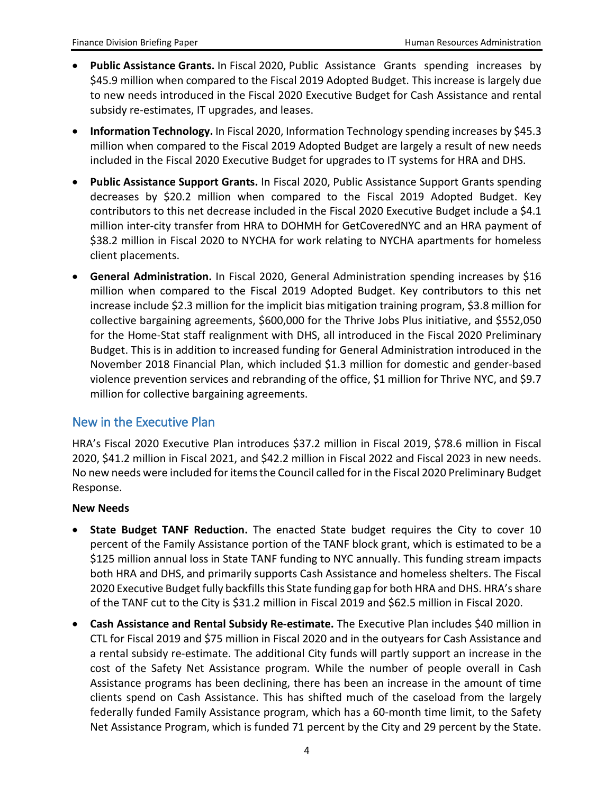- **Public Assistance Grants.** In Fiscal 2020, Public Assistance Grants spending increases by \$45.9 million when compared to the Fiscal 2019 Adopted Budget. This increase is largely due to new needs introduced in the Fiscal 2020 Executive Budget for Cash Assistance and rental subsidy re-estimates, IT upgrades, and leases.
- **Information Technology.** In Fiscal 2020, Information Technology spending increases by \$45.3 million when compared to the Fiscal 2019 Adopted Budget are largely a result of new needs included in the Fiscal 2020 Executive Budget for upgrades to IT systems for HRA and DHS.
- **Public Assistance Support Grants.** In Fiscal 2020, Public Assistance Support Grants spending decreases by \$20.2 million when compared to the Fiscal 2019 Adopted Budget. Key contributors to this net decrease included in the Fiscal 2020 Executive Budget include a \$4.1 million inter-city transfer from HRA to DOHMH for GetCoveredNYC and an HRA payment of \$38.2 million in Fiscal 2020 to NYCHA for work relating to NYCHA apartments for homeless client placements.
- **General Administration.** In Fiscal 2020, General Administration spending increases by \$16 million when compared to the Fiscal 2019 Adopted Budget. Key contributors to this net increase include \$2.3 million for the implicit bias mitigation training program, \$3.8 million for collective bargaining agreements, \$600,000 for the Thrive Jobs Plus initiative, and \$552,050 for the Home-Stat staff realignment with DHS, all introduced in the Fiscal 2020 Preliminary Budget. This is in addition to increased funding for General Administration introduced in the November 2018 Financial Plan, which included \$1.3 million for domestic and gender-based violence prevention services and rebranding of the office, \$1 million for Thrive NYC, and \$9.7 million for collective bargaining agreements.

#### New in the Executive Plan

HRA's Fiscal 2020 Executive Plan introduces \$37.2 million in Fiscal 2019, \$78.6 million in Fiscal 2020, \$41.2 million in Fiscal 2021, and \$42.2 million in Fiscal 2022 and Fiscal 2023 in new needs. No new needs were included for items the Council called for in the Fiscal 2020 Preliminary Budget Response.

#### **New Needs**

- **State Budget TANF Reduction.** The enacted State budget requires the City to cover 10 percent of the Family Assistance portion of the TANF block grant, which is estimated to be a \$125 million annual loss in State TANF funding to NYC annually. This funding stream impacts both HRA and DHS, and primarily supports Cash Assistance and homeless shelters. The Fiscal 2020 Executive Budget fully backfills this State funding gap for both HRA and DHS. HRA's share of the TANF cut to the City is \$31.2 million in Fiscal 2019 and \$62.5 million in Fiscal 2020.
- **Cash Assistance and Rental Subsidy Re-estimate.** The Executive Plan includes \$40 million in CTL for Fiscal 2019 and \$75 million in Fiscal 2020 and in the outyears for Cash Assistance and a rental subsidy re-estimate. The additional City funds will partly support an increase in the cost of the Safety Net Assistance program. While the number of people overall in Cash Assistance programs has been declining, there has been an increase in the amount of time clients spend on Cash Assistance. This has shifted much of the caseload from the largely federally funded Family Assistance program, which has a 60-month time limit, to the Safety Net Assistance Program, which is funded 71 percent by the City and 29 percent by the State.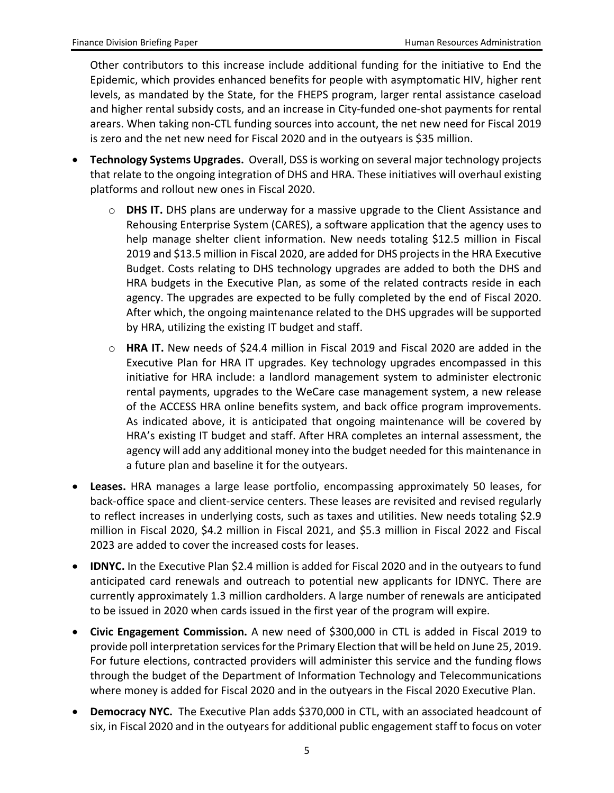Other contributors to this increase include additional funding for the initiative to End the Epidemic, which provides enhanced benefits for people with asymptomatic HIV, higher rent levels, as mandated by the State, for the FHEPS program, larger rental assistance caseload and higher rental subsidy costs, and an increase in City-funded one-shot payments for rental arears. When taking non-CTL funding sources into account, the net new need for Fiscal 2019 is zero and the net new need for Fiscal 2020 and in the outyears is \$35 million.

- **Technology Systems Upgrades.** Overall, DSS is working on several major technology projects that relate to the ongoing integration of DHS and HRA. These initiatives will overhaul existing platforms and rollout new ones in Fiscal 2020.
	- o **DHS IT.** DHS plans are underway for a massive upgrade to the Client Assistance and Rehousing Enterprise System (CARES), a software application that the agency uses to help manage shelter client information. New needs totaling \$12.5 million in Fiscal 2019 and \$13.5 million in Fiscal 2020, are added for DHS projects in the HRA Executive Budget. Costs relating to DHS technology upgrades are added to both the DHS and HRA budgets in the Executive Plan, as some of the related contracts reside in each agency. The upgrades are expected to be fully completed by the end of Fiscal 2020. After which, the ongoing maintenance related to the DHS upgrades will be supported by HRA, utilizing the existing IT budget and staff.
	- o **HRA IT.** New needs of \$24.4 million in Fiscal 2019 and Fiscal 2020 are added in the Executive Plan for HRA IT upgrades. Key technology upgrades encompassed in this initiative for HRA include: a landlord management system to administer electronic rental payments, upgrades to the WeCare case management system, a new release of the ACCESS HRA online benefits system, and back office program improvements. As indicated above, it is anticipated that ongoing maintenance will be covered by HRA's existing IT budget and staff. After HRA completes an internal assessment, the agency will add any additional money into the budget needed for this maintenance in a future plan and baseline it for the outyears.
- **Leases.** HRA manages a large lease portfolio, encompassing approximately 50 leases, for back-office space and client-service centers. These leases are revisited and revised regularly to reflect increases in underlying costs, such as taxes and utilities. New needs totaling \$2.9 million in Fiscal 2020, \$4.2 million in Fiscal 2021, and \$5.3 million in Fiscal 2022 and Fiscal 2023 are added to cover the increased costs for leases.
- **IDNYC.** In the Executive Plan \$2.4 million is added for Fiscal 2020 and in the outyears to fund anticipated card renewals and outreach to potential new applicants for IDNYC. There are currently approximately 1.3 million cardholders. A large number of renewals are anticipated to be issued in 2020 when cards issued in the first year of the program will expire.
- **Civic Engagement Commission.** A new need of \$300,000 in CTL is added in Fiscal 2019 to provide poll interpretation services for the Primary Election that will be held on June 25, 2019. For future elections, contracted providers will administer this service and the funding flows through the budget of the Department of Information Technology and Telecommunications where money is added for Fiscal 2020 and in the outyears in the Fiscal 2020 Executive Plan.
- **Democracy NYC.** The Executive Plan adds \$370,000 in CTL, with an associated headcount of six, in Fiscal 2020 and in the outyears for additional public engagement staff to focus on voter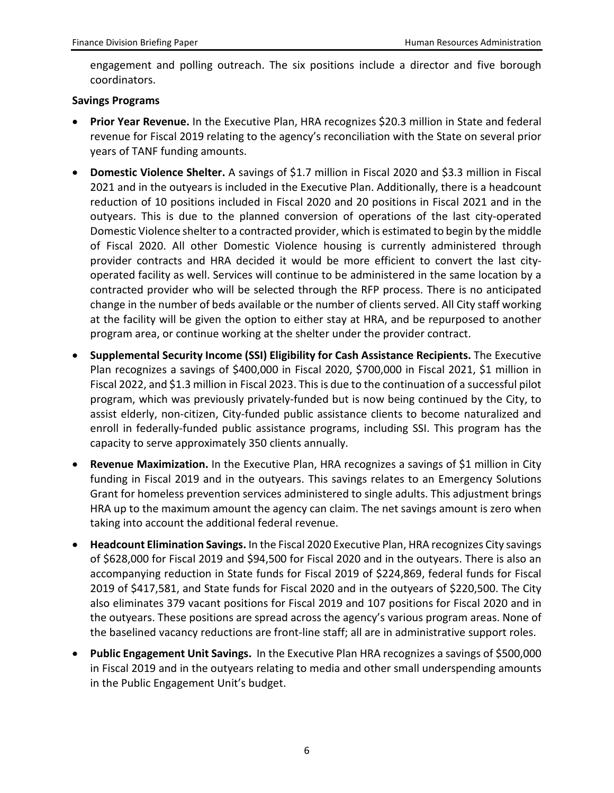engagement and polling outreach. The six positions include a director and five borough coordinators.

#### **Savings Programs**

- **Prior Year Revenue.** In the Executive Plan, HRA recognizes \$20.3 million in State and federal revenue for Fiscal 2019 relating to the agency's reconciliation with the State on several prior years of TANF funding amounts.
- **Domestic Violence Shelter.** A savings of \$1.7 million in Fiscal 2020 and \$3.3 million in Fiscal 2021 and in the outyears is included in the Executive Plan. Additionally, there is a headcount reduction of 10 positions included in Fiscal 2020 and 20 positions in Fiscal 2021 and in the outyears. This is due to the planned conversion of operations of the last city-operated Domestic Violence shelter to a contracted provider, which is estimated to begin by the middle of Fiscal 2020. All other Domestic Violence housing is currently administered through provider contracts and HRA decided it would be more efficient to convert the last cityoperated facility as well. Services will continue to be administered in the same location by a contracted provider who will be selected through the RFP process. There is no anticipated change in the number of beds available or the number of clients served. All City staff working at the facility will be given the option to either stay at HRA, and be repurposed to another program area, or continue working at the shelter under the provider contract.
- **Supplemental Security Income (SSI) Eligibility for Cash Assistance Recipients.** The Executive Plan recognizes a savings of \$400,000 in Fiscal 2020, \$700,000 in Fiscal 2021, \$1 million in Fiscal 2022, and \$1.3 million in Fiscal 2023. This is due to the continuation of a successful pilot program, which was previously privately-funded but is now being continued by the City, to assist elderly, non-citizen, City-funded public assistance clients to become naturalized and enroll in federally-funded public assistance programs, including SSI. This program has the capacity to serve approximately 350 clients annually.
- **Revenue Maximization.** In the Executive Plan, HRA recognizes a savings of \$1 million in City funding in Fiscal 2019 and in the outyears. This savings relates to an Emergency Solutions Grant for homeless prevention services administered to single adults. This adjustment brings HRA up to the maximum amount the agency can claim. The net savings amount is zero when taking into account the additional federal revenue.
- **Headcount Elimination Savings.** In the Fiscal 2020 Executive Plan, HRA recognizes City savings of \$628,000 for Fiscal 2019 and \$94,500 for Fiscal 2020 and in the outyears. There is also an accompanying reduction in State funds for Fiscal 2019 of \$224,869, federal funds for Fiscal 2019 of \$417,581, and State funds for Fiscal 2020 and in the outyears of \$220,500. The City also eliminates 379 vacant positions for Fiscal 2019 and 107 positions for Fiscal 2020 and in the outyears. These positions are spread across the agency's various program areas. None of the baselined vacancy reductions are front-line staff; all are in administrative support roles.
- **Public Engagement Unit Savings.** In the Executive Plan HRA recognizes a savings of \$500,000 in Fiscal 2019 and in the outyears relating to media and other small underspending amounts in the Public Engagement Unit's budget.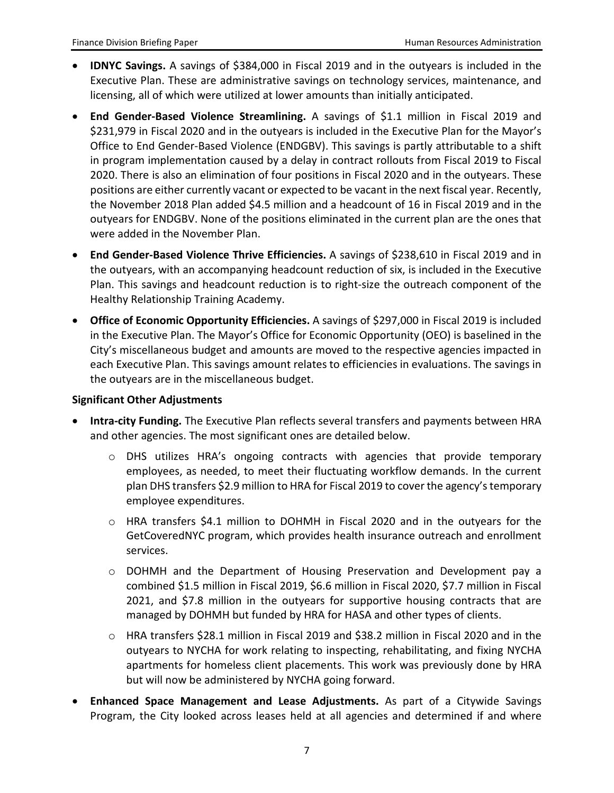- **IDNYC Savings.** A savings of \$384,000 in Fiscal 2019 and in the outyears is included in the Executive Plan. These are administrative savings on technology services, maintenance, and licensing, all of which were utilized at lower amounts than initially anticipated.
- **End Gender-Based Violence Streamlining.** A savings of \$1.1 million in Fiscal 2019 and \$231,979 in Fiscal 2020 and in the outyears is included in the Executive Plan for the Mayor's Office to End Gender-Based Violence (ENDGBV). This savings is partly attributable to a shift in program implementation caused by a delay in contract rollouts from Fiscal 2019 to Fiscal 2020. There is also an elimination of four positions in Fiscal 2020 and in the outyears. These positions are either currently vacant or expected to be vacant in the next fiscal year. Recently, the November 2018 Plan added \$4.5 million and a headcount of 16 in Fiscal 2019 and in the outyears for ENDGBV. None of the positions eliminated in the current plan are the ones that were added in the November Plan.
- **End Gender-Based Violence Thrive Efficiencies.** A savings of \$238,610 in Fiscal 2019 and in the outyears, with an accompanying headcount reduction of six, is included in the Executive Plan. This savings and headcount reduction is to right-size the outreach component of the Healthy Relationship Training Academy.
- **Office of Economic Opportunity Efficiencies.** A savings of \$297,000 in Fiscal 2019 is included in the Executive Plan. The Mayor's Office for Economic Opportunity (OEO) is baselined in the City's miscellaneous budget and amounts are moved to the respective agencies impacted in each Executive Plan. This savings amount relates to efficiencies in evaluations. The savings in the outyears are in the miscellaneous budget.

#### **Significant Other Adjustments**

- **Intra-city Funding.** The Executive Plan reflects several transfers and payments between HRA and other agencies. The most significant ones are detailed below.
	- o DHS utilizes HRA's ongoing contracts with agencies that provide temporary employees, as needed, to meet their fluctuating workflow demands. In the current plan DHS transfers \$2.9 million to HRA for Fiscal 2019 to cover the agency's temporary employee expenditures.
	- o HRA transfers \$4.1 million to DOHMH in Fiscal 2020 and in the outyears for the GetCoveredNYC program, which provides health insurance outreach and enrollment services.
	- o DOHMH and the Department of Housing Preservation and Development pay a combined \$1.5 million in Fiscal 2019, \$6.6 million in Fiscal 2020, \$7.7 million in Fiscal 2021, and \$7.8 million in the outyears for supportive housing contracts that are managed by DOHMH but funded by HRA for HASA and other types of clients.
	- o HRA transfers \$28.1 million in Fiscal 2019 and \$38.2 million in Fiscal 2020 and in the outyears to NYCHA for work relating to inspecting, rehabilitating, and fixing NYCHA apartments for homeless client placements. This work was previously done by HRA but will now be administered by NYCHA going forward.
- **Enhanced Space Management and Lease Adjustments.** As part of a Citywide Savings Program, the City looked across leases held at all agencies and determined if and where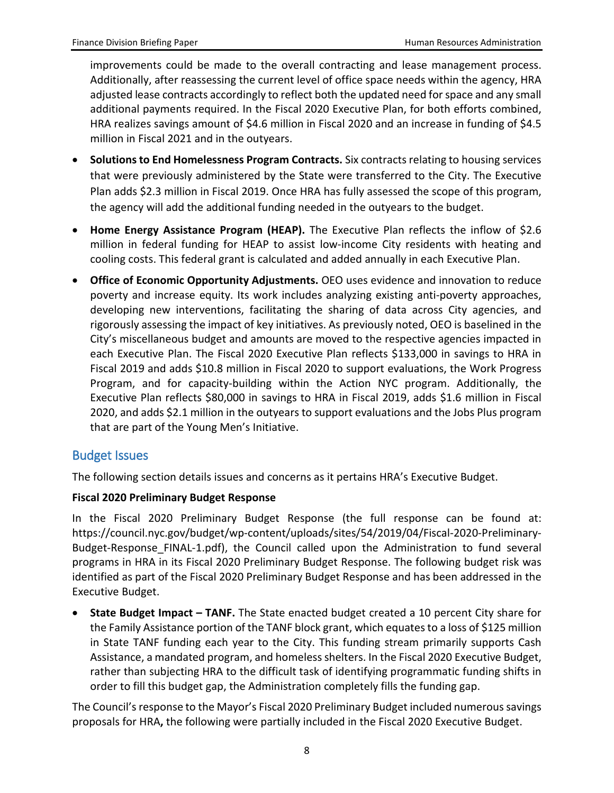improvements could be made to the overall contracting and lease management process. Additionally, after reassessing the current level of office space needs within the agency, HRA adjusted lease contracts accordingly to reflect both the updated need for space and any small additional payments required. In the Fiscal 2020 Executive Plan, for both efforts combined, HRA realizes savings amount of \$4.6 million in Fiscal 2020 and an increase in funding of \$4.5 million in Fiscal 2021 and in the outyears.

- **Solutions to End Homelessness Program Contracts.** Six contracts relating to housing services that were previously administered by the State were transferred to the City. The Executive Plan adds \$2.3 million in Fiscal 2019. Once HRA has fully assessed the scope of this program, the agency will add the additional funding needed in the outyears to the budget.
- **Home Energy Assistance Program (HEAP).** The Executive Plan reflects the inflow of \$2.6 million in federal funding for HEAP to assist low-income City residents with heating and cooling costs. This federal grant is calculated and added annually in each Executive Plan.
- **Office of Economic Opportunity Adjustments.** OEO uses evidence and innovation to reduce poverty and increase equity. Its work includes analyzing existing anti-poverty approaches, developing new interventions, facilitating the sharing of data across City agencies, and rigorously assessing the impact of key initiatives. As previously noted, OEO is baselined in the City's miscellaneous budget and amounts are moved to the respective agencies impacted in each Executive Plan. The Fiscal 2020 Executive Plan reflects \$133,000 in savings to HRA in Fiscal 2019 and adds \$10.8 million in Fiscal 2020 to support evaluations, the Work Progress Program, and for capacity-building within the Action NYC program. Additionally, the Executive Plan reflects \$80,000 in savings to HRA in Fiscal 2019, adds \$1.6 million in Fiscal 2020, and adds \$2.1 million in the outyears to support evaluations and the Jobs Plus program that are part of the Young Men's Initiative.

#### Budget Issues

The following section details issues and concerns as it pertains HRA's Executive Budget.

#### **Fiscal 2020 Preliminary Budget Response**

In the Fiscal 2020 Preliminary Budget Response (the full response can be found at: https://council.nyc.gov/budget/wp-content/uploads/sites/54/2019/04/Fiscal-2020-Preliminary-Budget-Response FINAL-1.pdf), the Council called upon the Administration to fund several programs in HRA in its Fiscal 2020 Preliminary Budget Response. The following budget risk was identified as part of the Fiscal 2020 Preliminary Budget Response and has been addressed in the Executive Budget.

• **State Budget Impact – TANF.** The State enacted budget created a 10 percent City share for the Family Assistance portion of the TANF block grant, which equates to a loss of \$125 million in State TANF funding each year to the City. This funding stream primarily supports Cash Assistance, a mandated program, and homeless shelters. In the Fiscal 2020 Executive Budget, rather than subjecting HRA to the difficult task of identifying programmatic funding shifts in order to fill this budget gap, the Administration completely fills the funding gap.

The Council's response to the Mayor's Fiscal 2020 Preliminary Budget included numerous savings proposals for HRA**,** the following were partially included in the Fiscal 2020 Executive Budget.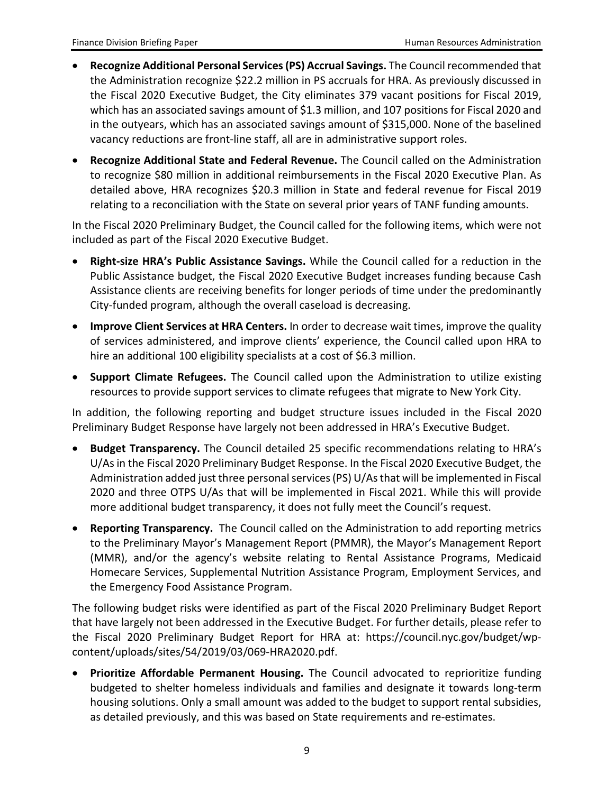- **Recognize Additional Personal Services (PS) Accrual Savings.** The Council recommended that the Administration recognize \$22.2 million in PS accruals for HRA. As previously discussed in the Fiscal 2020 Executive Budget, the City eliminates 379 vacant positions for Fiscal 2019, which has an associated savings amount of \$1.3 million, and 107 positions for Fiscal 2020 and in the outyears, which has an associated savings amount of \$315,000. None of the baselined vacancy reductions are front-line staff, all are in administrative support roles.
- **Recognize Additional State and Federal Revenue.** The Council called on the Administration to recognize \$80 million in additional reimbursements in the Fiscal 2020 Executive Plan. As detailed above, HRA recognizes \$20.3 million in State and federal revenue for Fiscal 2019 relating to a reconciliation with the State on several prior years of TANF funding amounts.

In the Fiscal 2020 Preliminary Budget, the Council called for the following items, which were not included as part of the Fiscal 2020 Executive Budget.

- **Right-size HRA's Public Assistance Savings.** While the Council called for a reduction in the Public Assistance budget, the Fiscal 2020 Executive Budget increases funding because Cash Assistance clients are receiving benefits for longer periods of time under the predominantly City-funded program, although the overall caseload is decreasing.
- **Improve Client Services at HRA Centers.** In order to decrease wait times, improve the quality of services administered, and improve clients' experience, the Council called upon HRA to hire an additional 100 eligibility specialists at a cost of \$6.3 million.
- **Support Climate Refugees.** The Council called upon the Administration to utilize existing resources to provide support services to climate refugees that migrate to New York City.

In addition, the following reporting and budget structure issues included in the Fiscal 2020 Preliminary Budget Response have largely not been addressed in HRA's Executive Budget.

- **Budget Transparency.** The Council detailed 25 specific recommendations relating to HRA's U/As in the Fiscal 2020 Preliminary Budget Response. In the Fiscal 2020 Executive Budget, the Administration added just three personal services (PS) U/As that will be implemented in Fiscal 2020 and three OTPS U/As that will be implemented in Fiscal 2021. While this will provide more additional budget transparency, it does not fully meet the Council's request.
- **Reporting Transparency.** The Council called on the Administration to add reporting metrics to the Preliminary Mayor's Management Report (PMMR), the Mayor's Management Report (MMR), and/or the agency's website relating to Rental Assistance Programs, Medicaid Homecare Services, Supplemental Nutrition Assistance Program, Employment Services, and the Emergency Food Assistance Program.

The following budget risks were identified as part of the Fiscal 2020 Preliminary Budget Report that have largely not been addressed in the Executive Budget. For further details, please refer to the Fiscal 2020 Preliminary Budget Report for HRA at: https://council.nyc.gov/budget/wpcontent/uploads/sites/54/2019/03/069-HRA2020.pdf.

• **Prioritize Affordable Permanent Housing.** The Council advocated to reprioritize funding budgeted to shelter homeless individuals and families and designate it towards long-term housing solutions. Only a small amount was added to the budget to support rental subsidies, as detailed previously, and this was based on State requirements and re-estimates.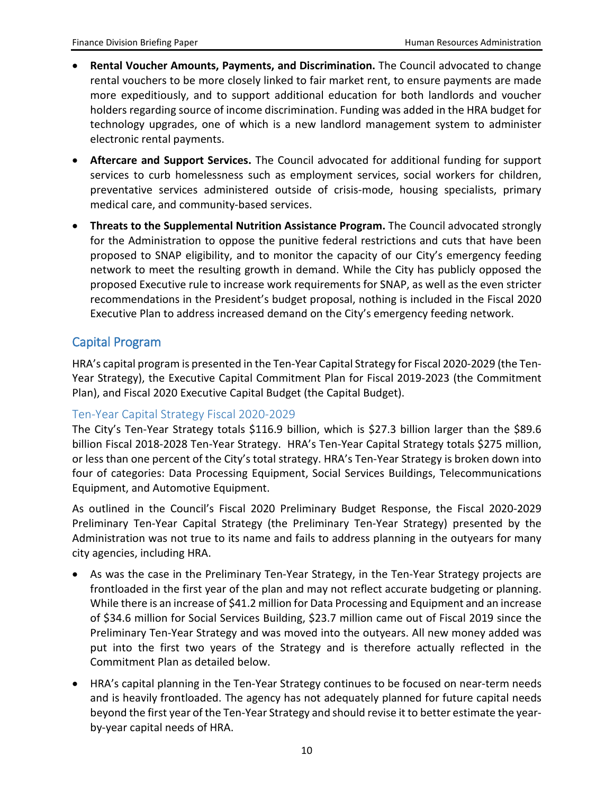- **Rental Voucher Amounts, Payments, and Discrimination.** The Council advocated to change rental vouchers to be more closely linked to fair market rent, to ensure payments are made more expeditiously, and to support additional education for both landlords and voucher holders regarding source of income discrimination. Funding was added in the HRA budget for technology upgrades, one of which is a new landlord management system to administer electronic rental payments.
- **Aftercare and Support Services.** The Council advocated for additional funding for support services to curb homelessness such as employment services, social workers for children, preventative services administered outside of crisis-mode, housing specialists, primary medical care, and community-based services.
- **Threats to the Supplemental Nutrition Assistance Program.** The Council advocated strongly for the Administration to oppose the punitive federal restrictions and cuts that have been proposed to SNAP eligibility, and to monitor the capacity of our City's emergency feeding network to meet the resulting growth in demand. While the City has publicly opposed the proposed Executive rule to increase work requirements for SNAP, as well as the even stricter recommendations in the President's budget proposal, nothing is included in the Fiscal 2020 Executive Plan to address increased demand on the City's emergency feeding network.

### Capital Program

HRA's capital program is presented in the Ten-Year Capital Strategy for Fiscal 2020-2029 (the Ten-Year Strategy), the Executive Capital Commitment Plan for Fiscal 2019-2023 (the Commitment Plan), and Fiscal 2020 Executive Capital Budget (the Capital Budget).

#### Ten-Year Capital Strategy Fiscal 2020-2029

The City's Ten-Year Strategy totals \$116.9 billion, which is \$27.3 billion larger than the \$89.6 billion Fiscal 2018-2028 Ten-Year Strategy. HRA's Ten-Year Capital Strategy totals \$275 million, or less than one percent of the City's total strategy. HRA's Ten-Year Strategy is broken down into four of categories: Data Processing Equipment, Social Services Buildings, Telecommunications Equipment, and Automotive Equipment.

As outlined in the Council's Fiscal 2020 Preliminary Budget Response, the Fiscal 2020-2029 Preliminary Ten-Year Capital Strategy (the Preliminary Ten-Year Strategy) presented by the Administration was not true to its name and fails to address planning in the outyears for many city agencies, including HRA.

- As was the case in the Preliminary Ten-Year Strategy, in the Ten-Year Strategy projects are frontloaded in the first year of the plan and may not reflect accurate budgeting or planning. While there is an increase of \$41.2 million for Data Processing and Equipment and an increase of \$34.6 million for Social Services Building, \$23.7 million came out of Fiscal 2019 since the Preliminary Ten-Year Strategy and was moved into the outyears. All new money added was put into the first two years of the Strategy and is therefore actually reflected in the Commitment Plan as detailed below.
- HRA's capital planning in the Ten-Year Strategy continues to be focused on near-term needs and is heavily frontloaded. The agency has not adequately planned for future capital needs beyond the first year of the Ten-Year Strategy and should revise it to better estimate the yearby-year capital needs of HRA.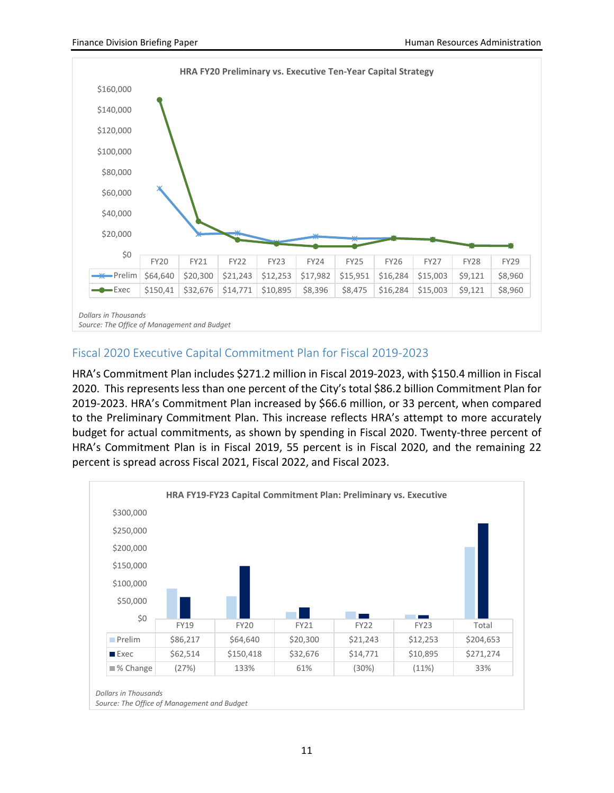

#### Fiscal 2020 Executive Capital Commitment Plan for Fiscal 2019-2023

HRA's Commitment Plan includes \$271.2 million in Fiscal 2019-2023, with \$150.4 million in Fiscal 2020. This represents less than one percent of the City's total \$86.2 billion Commitment Plan for 2019-2023. HRA's Commitment Plan increased by \$66.6 million, or 33 percent, when compared to the Preliminary Commitment Plan. This increase reflects HRA's attempt to more accurately budget for actual commitments, as shown by spending in Fiscal 2020. Twenty-three percent of HRA's Commitment Plan is in Fiscal 2019, 55 percent is in Fiscal 2020, and the remaining 22 percent is spread across Fiscal 2021, Fiscal 2022, and Fiscal 2023.



*Source: The Office of Management and Budget*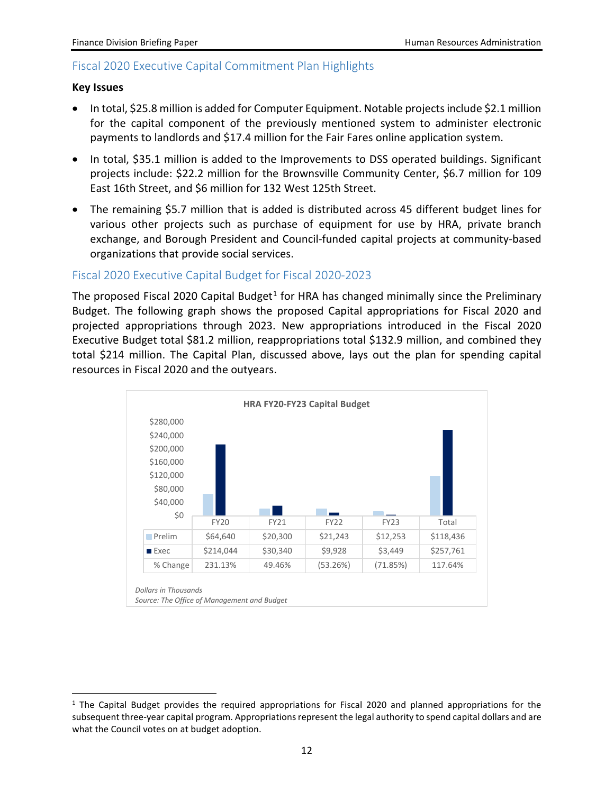#### Fiscal 2020 Executive Capital Commitment Plan Highlights

#### **Key Issues**

- In total, \$25.8 million is added for Computer Equipment. Notable projects include \$2.1 million for the capital component of the previously mentioned system to administer electronic payments to landlords and \$17.4 million for the Fair Fares online application system.
- In total, \$35.1 million is added to the Improvements to DSS operated buildings. Significant projects include: \$22.2 million for the Brownsville Community Center, \$6.7 million for 109 East 16th Street, and \$6 million for 132 West 125th Street.
- The remaining \$5.7 million that is added is distributed across 45 different budget lines for various other projects such as purchase of equipment for use by HRA, private branch exchange, and Borough President and Council-funded capital projects at community-based organizations that provide social services.

#### Fiscal 2020 Executive Capital Budget for Fiscal 2020-2023

The proposed Fiscal 2020 Capital Budget<sup>[1](#page-12-0)</sup> for HRA has changed minimally since the Preliminary Budget. The following graph shows the proposed Capital appropriations for Fiscal 2020 and projected appropriations through 2023. New appropriations introduced in the Fiscal 2020 Executive Budget total \$81.2 million, reappropriations total \$132.9 million, and combined they total \$214 million. The Capital Plan, discussed above, lays out the plan for spending capital resources in Fiscal 2020 and the outyears.



<span id="page-12-0"></span> $1$  The Capital Budget provides the required appropriations for Fiscal 2020 and planned appropriations for the subsequent three-year capital program. Appropriations represent the legal authority to spend capital dollars and are what the Council votes on at budget adoption.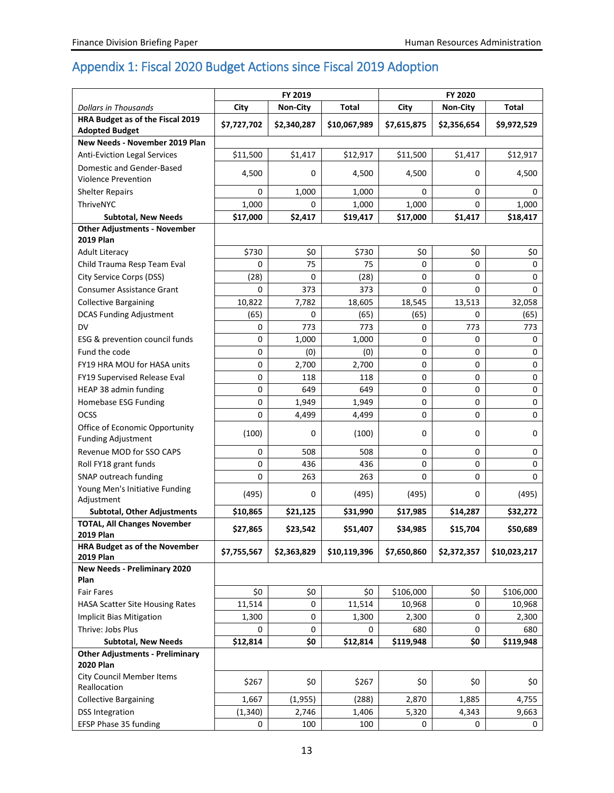## Appendix 1: Fiscal 2020 Budget Actions since Fiscal 2019 Adoption

|                                                                   | FY 2019     |                 |              | FY 2020     |                 |              |
|-------------------------------------------------------------------|-------------|-----------------|--------------|-------------|-----------------|--------------|
| <b>Dollars in Thousands</b>                                       | City        | <b>Non-City</b> | <b>Total</b> | City        | <b>Non-City</b> | <b>Total</b> |
| HRA Budget as of the Fiscal 2019<br><b>Adopted Budget</b>         | \$7,727,702 | \$2,340,287     | \$10,067,989 | \$7,615,875 | \$2,356,654     | \$9,972,529  |
| New Needs - November 2019 Plan                                    |             |                 |              |             |                 |              |
| <b>Anti-Eviction Legal Services</b>                               | \$11,500    | \$1,417         | \$12,917     | \$11,500    | \$1,417         | \$12,917     |
| Domestic and Gender-Based                                         | 4,500       | 0               | 4,500        | 4,500       | 0               | 4,500        |
| <b>Violence Prevention</b><br><b>Shelter Repairs</b>              | $\Omega$    | 1,000           | 1,000        | 0           | 0               | $\Omega$     |
| ThriveNYC                                                         |             | 0               |              |             | 0               |              |
|                                                                   | 1,000       |                 | 1,000        | 1,000       | \$1,417         | 1,000        |
| <b>Subtotal, New Needs</b><br><b>Other Adjustments - November</b> | \$17,000    | \$2,417         | \$19,417     | \$17,000    |                 | \$18,417     |
| <b>2019 Plan</b>                                                  |             |                 |              |             |                 |              |
| <b>Adult Literacy</b>                                             | \$730       | \$0             | \$730        | \$0         | \$0             | \$0          |
| Child Trauma Resp Team Eval                                       | $\Omega$    | 75              | 75           | 0           | 0               | 0            |
| City Service Corps (DSS)                                          | (28)        | 0               | (28)         | 0           | 0               | 0            |
| <b>Consumer Assistance Grant</b>                                  | $\Omega$    | 373             | 373          | 0           | 0               | $\Omega$     |
| <b>Collective Bargaining</b>                                      | 10,822      | 7,782           | 18,605       | 18,545      | 13,513          | 32,058       |
| <b>DCAS Funding Adjustment</b>                                    | (65)        | 0               | (65)         | (65)        | 0               | (65)         |
| <b>DV</b>                                                         | 0           | 773             | 773          | 0           | 773             | 773          |
| ESG & prevention council funds                                    | 0           | 1,000           | 1,000        | 0           | 0               | 0            |
| Fund the code                                                     | 0           | (0)             | (0)          | 0           | 0               | 0            |
| FY19 HRA MOU for HASA units                                       | 0           | 2,700           | 2,700        | 0           | 0               | 0            |
| FY19 Supervised Release Eval                                      | 0           | 118             | 118          | 0           | 0               | 0            |
| HEAP 38 admin funding                                             | $\mathbf 0$ | 649             | 649          | 0           | 0               | 0            |
| Homebase ESG Funding                                              | 0           | 1,949           | 1,949        | 0           | 0               | 0            |
| OCSS                                                              | 0           | 4,499           | 4,499        | 0           | 0               | 0            |
| Office of Economic Opportunity<br><b>Funding Adjustment</b>       | (100)       | 0               | (100)        | 0           | 0               | 0            |
| Revenue MOD for SSO CAPS                                          | 0           | 508             | 508          | 0           | 0               | 0            |
| Roll FY18 grant funds                                             | 0           | 436             | 436          | 0           | 0               | 0            |
| SNAP outreach funding                                             | $\Omega$    | 263             | 263          | 0           | 0               | $\Omega$     |
| Young Men's Initiative Funding                                    | (495)       | 0               | (495)        | (495)       | 0               | (495)        |
| Adjustment                                                        |             |                 |              |             |                 |              |
| <b>Subtotal, Other Adjustments</b>                                | \$10,865    | \$21,125        | \$31,990     | \$17,985    | \$14,287        | \$32,272     |
| <b>TOTAL, All Changes November</b><br><b>2019 Plan</b>            | \$27,865    | \$23,542        | \$51,407     | \$34,985    | \$15,704        | \$50,689     |
| HRA Budget as of the November<br><b>2019 Plan</b>                 | \$7,755,567 | \$2,363,829     | \$10,119,396 | \$7,650,860 | \$2,372,357     | \$10,023,217 |
| <b>New Needs - Preliminary 2020</b>                               |             |                 |              |             |                 |              |
| Plan                                                              |             |                 |              |             |                 |              |
| <b>Fair Fares</b>                                                 | \$0         | \$0             | \$0          | \$106,000   | \$0             | \$106,000    |
| <b>HASA Scatter Site Housing Rates</b>                            | 11,514      | 0               | 11,514       | 10,968      | 0               | 10,968       |
| <b>Implicit Bias Mitigation</b>                                   | 1,300       | 0               | 1,300        | 2,300       | 0               | 2,300        |
| Thrive: Jobs Plus                                                 | 0           | 0               | 0            | 680         | 0               | 680          |
| <b>Subtotal, New Needs</b>                                        | \$12,814    | \$0             | \$12,814     | \$119,948   | \$0             | \$119,948    |
| <b>Other Adjustments - Preliminary</b><br><b>2020 Plan</b>        |             |                 |              |             |                 |              |
| <b>City Council Member Items</b>                                  | \$267       | \$0             | \$267        | \$0         | \$0             | \$0          |
| Reallocation                                                      |             |                 |              |             |                 |              |
| <b>Collective Bargaining</b>                                      | 1,667       | (1,955)         | (288)        | 2,870       | 1,885           | 4,755        |
| <b>DSS Integration</b>                                            | (1, 340)    | 2,746           | 1,406        | 5,320       | 4,343           | 9,663        |
| EFSP Phase 35 funding                                             | 0           | 100             | 100          | 0           | 0               | 0            |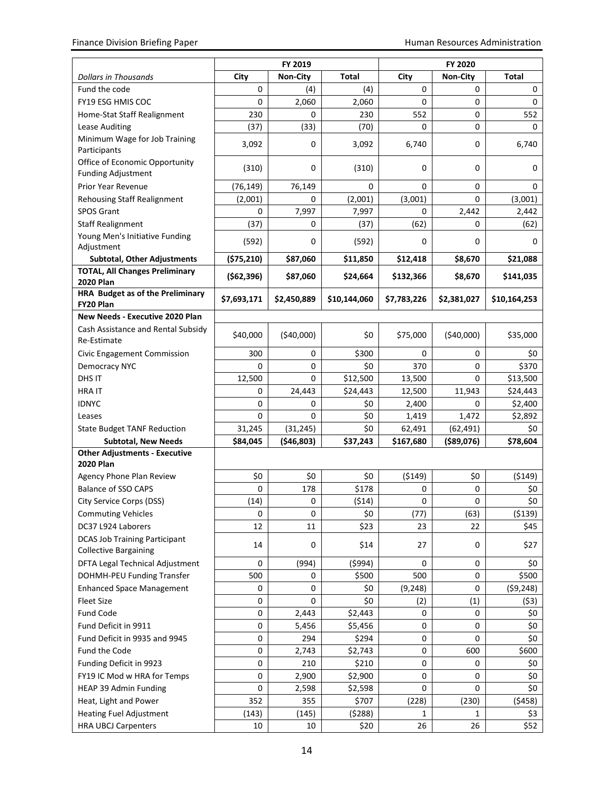|                                                                             | FY 2019         |                 |              | FY 2020     |                 |              |  |
|-----------------------------------------------------------------------------|-----------------|-----------------|--------------|-------------|-----------------|--------------|--|
| <b>Dollars in Thousands</b>                                                 | City            | <b>Non-City</b> | <b>Total</b> | City        | <b>Non-City</b> | <b>Total</b> |  |
| Fund the code                                                               | 0               | (4)             | (4)          | 0           | 0               | 0            |  |
| <b>FY19 ESG HMIS COC</b>                                                    | $\Omega$        | 2,060           | 2,060        | 0           | 0               | $\Omega$     |  |
| Home-Stat Staff Realignment                                                 | 230             | 0               | 230          | 552         | 0               | 552          |  |
| Lease Auditing                                                              | (37)            | (33)            | (70)         | $\Omega$    | 0               | $\Omega$     |  |
| Minimum Wage for Job Training                                               | 3,092           | 0               | 3,092        | 6,740       | 0               | 6,740        |  |
| Participants                                                                |                 |                 |              |             |                 |              |  |
| Office of Economic Opportunity                                              | (310)           | 0               | (310)        | 0           | 0               | 0            |  |
| <b>Funding Adjustment</b>                                                   |                 |                 |              |             |                 |              |  |
| Prior Year Revenue                                                          | (76, 149)       | 76,149          | 0            | $\Omega$    | 0               | 0            |  |
| <b>Rehousing Staff Realignment</b>                                          | (2,001)         | 0               | (2,001)      | (3,001)     | 0               | (3,001)      |  |
| <b>SPOS Grant</b>                                                           | 0               | 7,997           | 7,997        | $\Omega$    | 2,442           | 2,442        |  |
| <b>Staff Realignment</b>                                                    | (37)            | 0               | (37)         | (62)        | 0               | (62)         |  |
| Young Men's Initiative Funding                                              | (592)           | 0               | (592)        | 0           | 0               | $\Omega$     |  |
| Adjustment                                                                  |                 |                 |              |             |                 |              |  |
| <b>Subtotal, Other Adjustments</b><br><b>TOTAL, All Changes Preliminary</b> | (575, 210)      | \$87,060        | \$11,850     | \$12,418    | \$8,670         | \$21,088     |  |
| <b>2020 Plan</b>                                                            | (562,396)       | \$87,060        | \$24,664     | \$132,366   | \$8,670         | \$141,035    |  |
| HRA Budget as of the Preliminary                                            |                 |                 |              |             |                 |              |  |
| FY20 Plan                                                                   | \$7,693,171     | \$2,450,889     | \$10,144,060 | \$7,783,226 | \$2,381,027     | \$10,164,253 |  |
| New Needs - Executive 2020 Plan                                             |                 |                 |              |             |                 |              |  |
| Cash Assistance and Rental Subsidy                                          | \$40,000        | (\$40,000)      | \$0          | \$75,000    | (\$40,000)      | \$35,000     |  |
| Re-Estimate                                                                 |                 |                 |              |             |                 |              |  |
| Civic Engagement Commission                                                 | 300             | 0               | \$300        | 0           | 0               | \$0          |  |
| Democracy NYC                                                               | 0               | 0               | \$0          | 370         | 0               | \$370        |  |
| DHS IT                                                                      | 12,500          | 0               | \$12,500     | 13,500      | 0               | \$13,500     |  |
| <b>HRAIT</b>                                                                | 0               | 24,443          | \$24,443     | 12,500      | 11,943          | \$24,443     |  |
| <b>IDNYC</b>                                                                | 0               | 0               | \$0          | 2,400       | 0               | \$2,400      |  |
| Leases                                                                      | 0               | 0               | \$0          | 1,419       | 1,472           | \$2,892      |  |
| <b>State Budget TANF Reduction</b>                                          | 31,245          | (31, 245)       | \$0          | 62,491      | (62, 491)       | \$0          |  |
| <b>Subtotal, New Needs</b>                                                  | \$84,045        | ( \$46, 803)    | \$37,243     | \$167,680   | $($ \$89,076)   | \$78,604     |  |
| <b>Other Adjustments - Executive</b>                                        |                 |                 |              |             |                 |              |  |
| <b>2020 Plan</b>                                                            |                 |                 |              |             |                 |              |  |
| Agency Phone Plan Review<br><b>Balance of SSO CAPS</b>                      | \$0<br>$\Omega$ | \$0             | \$0          | ( \$149)    | \$0             | ( \$149)     |  |
|                                                                             |                 | 178             | \$178        | 0           | 0               | \$0          |  |
| City Service Corps (DSS)                                                    | (14)            | 0               | (514)        | 0           | 0               | \$0          |  |
| <b>Commuting Vehicles</b>                                                   | 0               | 0               | \$0          | (77)        | (63)            | (5139)       |  |
| DC37 L924 Laborers                                                          | 12              | $11\,$          | \$23         | 23          | 22              | \$45         |  |
| <b>DCAS Job Training Participant</b><br><b>Collective Bargaining</b>        | 14              | 0               | \$14         | 27          | 0               | \$27         |  |
| DFTA Legal Technical Adjustment                                             | 0               | (994)           | (5994)       | 0           | 0               | \$0          |  |
| DOHMH-PEU Funding Transfer                                                  | 500             | 0               | \$500        | 500         | 0               | \$500        |  |
| <b>Enhanced Space Management</b>                                            | 0               | 0               | \$0          | (9, 248)    | 0               | (59, 248)    |  |
| <b>Fleet Size</b>                                                           | 0               | 0               | \$0          | (2)         | (1)             | (53)         |  |
| Fund Code                                                                   | $\mathsf 0$     | 2,443           | \$2,443      | $\mathbf 0$ | 0               | \$0          |  |
| Fund Deficit in 9911                                                        | $\pmb{0}$       | 5,456           | \$5,456      | 0           | 0               | \$0          |  |
| Fund Deficit in 9935 and 9945                                               | 0               | 294             | \$294        | $\mathbf 0$ | 0               | \$0          |  |
| Fund the Code                                                               | 0               | 2,743           | \$2,743      | 0           | 600             | \$600        |  |
| Funding Deficit in 9923                                                     | 0               | 210             | \$210        | 0           | 0               | \$0          |  |
| FY19 IC Mod w HRA for Temps                                                 | 0               | 2,900           | \$2,900      | 0           | 0               | \$0          |  |
| HEAP 39 Admin Funding                                                       | 0               | 2,598           | \$2,598      | $\mathbf 0$ | 0               | \$0          |  |
| Heat, Light and Power                                                       | 352             | 355             | \$707        | (228)       | (230)           | (5458)       |  |
| <b>Heating Fuel Adjustment</b>                                              | (143)           | (145)           | (5288)       | 1           | 1               | \$3          |  |
| <b>HRA UBCJ Carpenters</b>                                                  | 10              | 10              | \$20         | 26          | 26              | \$52         |  |